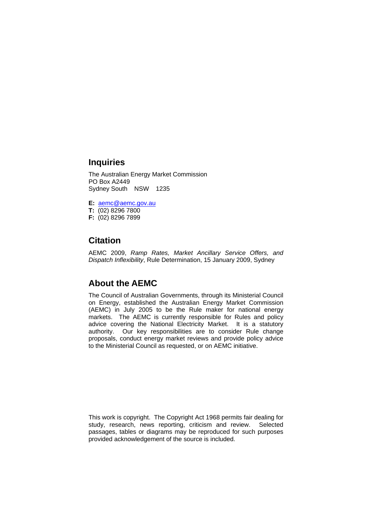# **Inquiries**

The Australian Energy Market Commission PO Box A2449 Sydney South NSW 1235

**E:** aemc@aemc.gov.au **T:** (02) 8296 7800

**F:** (02) 8296 7899

# **Citation**

AEMC 2009, *Ramp Rates, Market Ancillary Service Offers, and Dispatch Inflexibility*, Rule Determination, 15 January 2009, Sydney

# **About the AEMC**

The Council of Australian Governments, through its Ministerial Council on Energy, established the Australian Energy Market Commission (AEMC) in July 2005 to be the Rule maker for national energy markets. The AEMC is currently responsible for Rules and policy advice covering the National Electricity Market. It is a statutory authority. Our key responsibilities are to consider Rule change proposals, conduct energy market reviews and provide policy advice to the Ministerial Council as requested, or on AEMC initiative.

This work is copyright. The Copyright Act 1968 permits fair dealing for study, research, news reporting, criticism and review. Selected passages, tables or diagrams may be reproduced for such purposes provided acknowledgement of the source is included.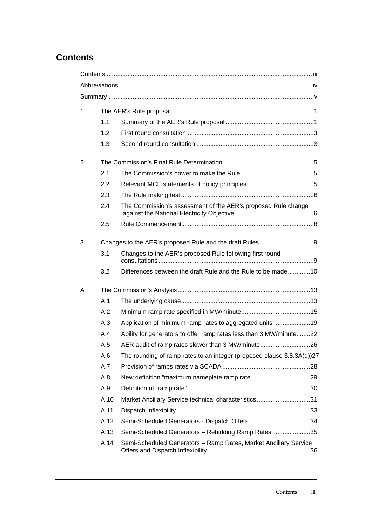# **Contents**

| 1 |      |                                                                        |  |  |
|---|------|------------------------------------------------------------------------|--|--|
|   | 1.1  |                                                                        |  |  |
|   | 1.2  |                                                                        |  |  |
|   | 1.3  |                                                                        |  |  |
| 2 |      |                                                                        |  |  |
|   | 2.1  |                                                                        |  |  |
|   | 2.2  |                                                                        |  |  |
|   | 2.3  |                                                                        |  |  |
|   | 2.4  | The Commission's assessment of the AER's proposed Rule change          |  |  |
|   | 2.5  |                                                                        |  |  |
| 3 |      |                                                                        |  |  |
|   | 3.1  | Changes to the AER's proposed Rule following first round               |  |  |
|   | 3.2  | Differences between the draft Rule and the Rule to be made10           |  |  |
| Α |      |                                                                        |  |  |
|   | A.1  |                                                                        |  |  |
|   | A.2  |                                                                        |  |  |
|   | A.3  | Application of minimum ramp rates to aggregated units 19               |  |  |
|   | A.4  | Ability for generators to offer ramp rates less than 3 MW/minute22     |  |  |
|   | A.5  | AER audit of ramp rates slower than 3 MW/minute26                      |  |  |
|   | A.6  | The rounding of ramp rates to an integer (proposed clause 3.8.3A(d))27 |  |  |
|   | A.7  |                                                                        |  |  |
|   | A.8  |                                                                        |  |  |
|   | A.9  |                                                                        |  |  |
|   | A.10 | Market Ancillary Service technical characteristics31                   |  |  |
|   | A.11 |                                                                        |  |  |
|   | A.12 | Semi-Scheduled Generators - Dispatch Offers 34                         |  |  |
|   | A.13 | Semi-Scheduled Generators - Rebidding Ramp Rates35                     |  |  |
|   | A.14 | Semi-Scheduled Generators - Ramp Rates, Market Ancillary Service       |  |  |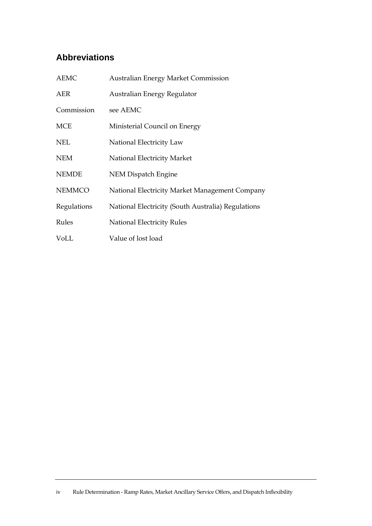# **Abbreviations**

| <b>AEMC</b>   | Australian Energy Market Commission                |
|---------------|----------------------------------------------------|
| <b>AER</b>    | Australian Energy Regulator                        |
| Commission    | see AEMC                                           |
| <b>MCE</b>    | Ministerial Council on Energy                      |
| <b>NEL</b>    | National Electricity Law                           |
| <b>NEM</b>    | National Electricity Market                        |
| <b>NEMDE</b>  | NEM Dispatch Engine                                |
| <b>NEMMCO</b> | National Electricity Market Management Company     |
| Regulations   | National Electricity (South Australia) Regulations |
| Rules         | <b>National Electricity Rules</b>                  |
| VoLL          | Value of lost load                                 |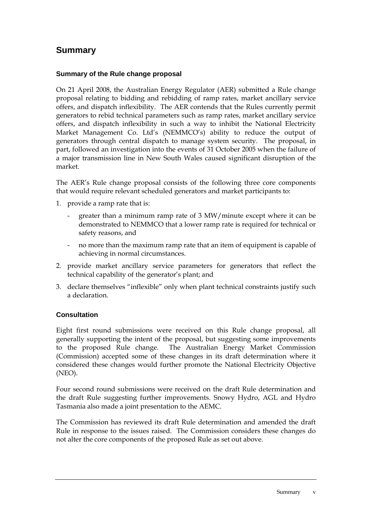# **Summary**

#### **Summary of the Rule change proposal**

On 21 April 2008, the Australian Energy Regulator (AER) submitted a Rule change proposal relating to bidding and rebidding of ramp rates, market ancillary service offers, and dispatch inflexibility. The AER contends that the Rules currently permit generators to rebid technical parameters such as ramp rates, market ancillary service offers, and dispatch inflexibility in such a way to inhibit the National Electricity Market Management Co. Ltd's (NEMMCO's) ability to reduce the output of generators through central dispatch to manage system security. The proposal, in part, followed an investigation into the events of 31 October 2005 when the failure of a major transmission line in New South Wales caused significant disruption of the market.

The AER's Rule change proposal consists of the following three core components that would require relevant scheduled generators and market participants to:

- 1. provide a ramp rate that is:
	- greater than a minimum ramp rate of 3 MW/minute except where it can be demonstrated to NEMMCO that a lower ramp rate is required for technical or safety reasons, and
	- no more than the maximum ramp rate that an item of equipment is capable of achieving in normal circumstances.
- 2. provide market ancillary service parameters for generators that reflect the technical capability of the generator's plant; and
- 3. declare themselves "inflexible" only when plant technical constraints justify such a declaration.

#### **Consultation**

Eight first round submissions were received on this Rule change proposal, all generally supporting the intent of the proposal, but suggesting some improvements to the proposed Rule change. The Australian Energy Market Commission (Commission) accepted some of these changes in its draft determination where it considered these changes would further promote the National Electricity Objective (NEO).

Four second round submissions were received on the draft Rule determination and the draft Rule suggesting further improvements. Snowy Hydro, AGL and Hydro Tasmania also made a joint presentation to the AEMC.

The Commission has reviewed its draft Rule determination and amended the draft Rule in response to the issues raised. The Commission considers these changes do not alter the core components of the proposed Rule as set out above.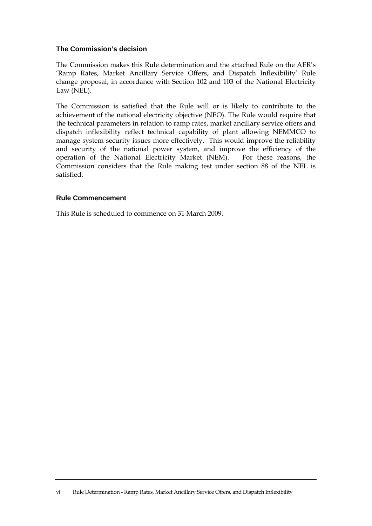#### **The Commission's decision**

The Commission makes this Rule determination and the attached Rule on the AER's 'Ramp Rates, Market Ancillary Service Offers, and Dispatch Inflexibility' Rule change proposal, in accordance with Section 102 and 103 of the National Electricity Law (NEL).

The Commission is satisfied that the Rule will or is likely to contribute to the achievement of the national electricity objective (NEO). The Rule would require that the technical parameters in relation to ramp rates, market ancillary service offers and dispatch inflexibility reflect technical capability of plant allowing NEMMCO to manage system security issues more effectively. This would improve the reliability and security of the national power system, and improve the efficiency of the operation of the National Electricity Market (NEM). For these reasons, the Commission considers that the Rule making test under section 88 of the NEL is satisfied.

#### **Rule Commencement**

This Rule is scheduled to commence on 31 March 2009.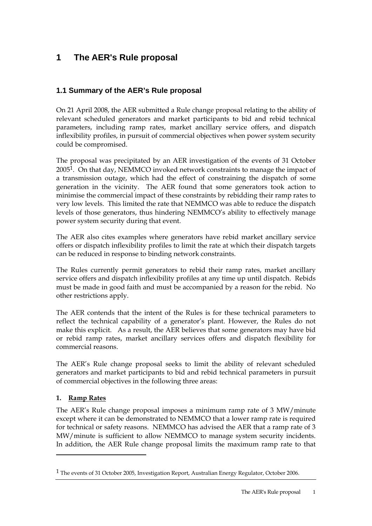# **1 The AER's Rule proposal**

# **1.1 Summary of the AER's Rule proposal**

On 21 April 2008, the AER submitted a Rule change proposal relating to the ability of relevant scheduled generators and market participants to bid and rebid technical parameters, including ramp rates, market ancillary service offers, and dispatch inflexibility profiles, in pursuit of commercial objectives when power system security could be compromised.

The proposal was precipitated by an AER investigation of the events of 31 October 20051. On that day, NEMMCO invoked network constraints to manage the impact of a transmission outage, which had the effect of constraining the dispatch of some generation in the vicinity. The AER found that some generators took action to minimise the commercial impact of these constraints by rebidding their ramp rates to very low levels. This limited the rate that NEMMCO was able to reduce the dispatch levels of those generators, thus hindering NEMMCO's ability to effectively manage power system security during that event.

The AER also cites examples where generators have rebid market ancillary service offers or dispatch inflexibility profiles to limit the rate at which their dispatch targets can be reduced in response to binding network constraints.

The Rules currently permit generators to rebid their ramp rates, market ancillary service offers and dispatch inflexibility profiles at any time up until dispatch. Rebids must be made in good faith and must be accompanied by a reason for the rebid. No other restrictions apply.

The AER contends that the intent of the Rules is for these technical parameters to reflect the technical capability of a generator's plant. However, the Rules do not make this explicit. As a result, the AER believes that some generators may have bid or rebid ramp rates, market ancillary services offers and dispatch flexibility for commercial reasons.

The AER's Rule change proposal seeks to limit the ability of relevant scheduled generators and market participants to bid and rebid technical parameters in pursuit of commercial objectives in the following three areas:

#### **1. Ramp Rates**

 $\overline{a}$ 

The AER's Rule change proposal imposes a minimum ramp rate of 3 MW/minute except where it can be demonstrated to NEMMCO that a lower ramp rate is required for technical or safety reasons. NEMMCO has advised the AER that a ramp rate of 3 MW/minute is sufficient to allow NEMMCO to manage system security incidents. In addition, the AER Rule change proposal limits the maximum ramp rate to that

<sup>1</sup> The events of 31 October 2005, Investigation Report, Australian Energy Regulator, October 2006.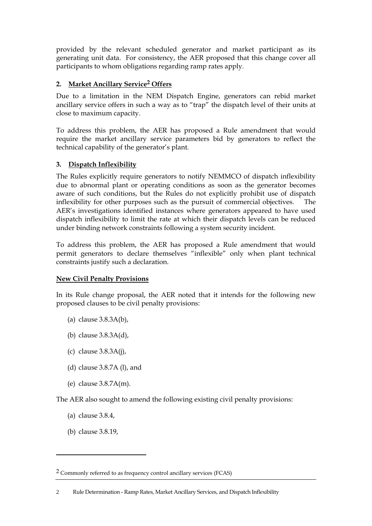provided by the relevant scheduled generator and market participant as its generating unit data. For consistency, the AER proposed that this change cover all participants to whom obligations regarding ramp rates apply.

#### **2. Market Ancillary Service2 Offers**

Due to a limitation in the NEM Dispatch Engine, generators can rebid market ancillary service offers in such a way as to "trap" the dispatch level of their units at close to maximum capacity.

To address this problem, the AER has proposed a Rule amendment that would require the market ancillary service parameters bid by generators to reflect the technical capability of the generator's plant.

#### **3. Dispatch Inflexibility**

The Rules explicitly require generators to notify NEMMCO of dispatch inflexibility due to abnormal plant or operating conditions as soon as the generator becomes aware of such conditions, but the Rules do not explicitly prohibit use of dispatch inflexibility for other purposes such as the pursuit of commercial objectives. The AER's investigations identified instances where generators appeared to have used dispatch inflexibility to limit the rate at which their dispatch levels can be reduced under binding network constraints following a system security incident.

To address this problem, the AER has proposed a Rule amendment that would permit generators to declare themselves "inflexible" only when plant technical constraints justify such a declaration.

#### **New Civil Penalty Provisions**

In its Rule change proposal, the AER noted that it intends for the following new proposed clauses to be civil penalty provisions:

- (a) clause 3.8.3A(b),
- (b) clause 3.8.3A(d),
- (c) clause 3.8.3A(j),
- (d) clause 3.8.7A (l), and
- (e) clause 3.8.7A(m).

The AER also sought to amend the following existing civil penalty provisions:

- (a) clause 3.8.4,
- (b) clause 3.8.19,

 $\overline{a}$ 

<sup>2</sup> Commonly referred to as frequency control ancillary services (FCAS)

<sup>2</sup> Rule Determination - Ramp Rates, Market Ancillary Services, and Dispatch Inflexibility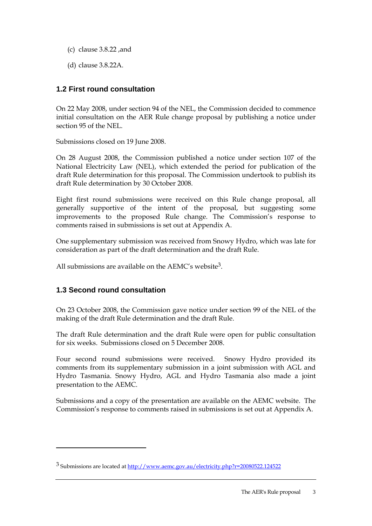- (c) clause 3.8.22 ,and
- (d) clause 3.8.22A.

# **1.2 First round consultation**

On 22 May 2008, under section 94 of the NEL, the Commission decided to commence initial consultation on the AER Rule change proposal by publishing a notice under section 95 of the NEL.

Submissions closed on 19 June 2008.

On 28 August 2008, the Commission published a notice under section 107 of the National Electricity Law (NEL), which extended the period for publication of the draft Rule determination for this proposal. The Commission undertook to publish its draft Rule determination by 30 October 2008.

Eight first round submissions were received on this Rule change proposal, all generally supportive of the intent of the proposal, but suggesting some improvements to the proposed Rule change. The Commission's response to comments raised in submissions is set out at Appendix A.

One supplementary submission was received from Snowy Hydro, which was late for consideration as part of the draft determination and the draft Rule.

All submissions are available on the AEMC's website<sup>3</sup>.

## **1.3 Second round consultation**

 $\overline{a}$ 

On 23 October 2008, the Commission gave notice under section 99 of the NEL of the making of the draft Rule determination and the draft Rule.

The draft Rule determination and the draft Rule were open for public consultation for six weeks. Submissions closed on 5 December 2008.

Four second round submissions were received. Snowy Hydro provided its comments from its supplementary submission in a joint submission with AGL and Hydro Tasmania. Snowy Hydro, AGL and Hydro Tasmania also made a joint presentation to the AEMC.

Submissions and a copy of the presentation are available on the AEMC website. The Commission's response to comments raised in submissions is set out at Appendix A.

<sup>3</sup> Submissions are located at http://www.aemc.gov.au/electricity.php?r=20080522.124522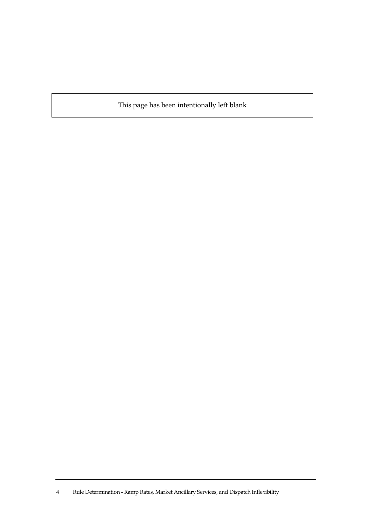This page has been intentionally left blank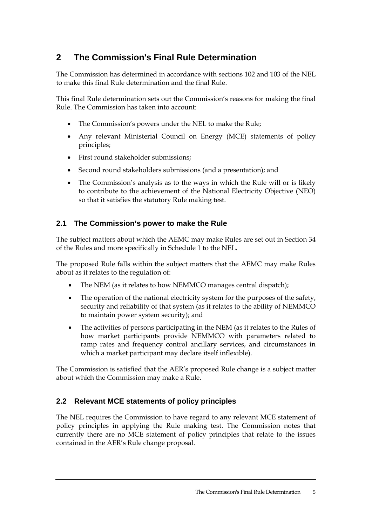# **2 The Commission's Final Rule Determination**

The Commission has determined in accordance with sections 102 and 103 of the NEL to make this final Rule determination and the final Rule.

This final Rule determination sets out the Commission's reasons for making the final Rule. The Commission has taken into account:

- The Commission's powers under the NEL to make the Rule;
- Any relevant Ministerial Council on Energy (MCE) statements of policy principles;
- First round stakeholder submissions;
- Second round stakeholders submissions (and a presentation); and
- The Commission's analysis as to the ways in which the Rule will or is likely to contribute to the achievement of the National Electricity Objective (NEO) so that it satisfies the statutory Rule making test.

# **2.1 The Commission's power to make the Rule**

The subject matters about which the AEMC may make Rules are set out in Section 34 of the Rules and more specifically in Schedule 1 to the NEL.

The proposed Rule falls within the subject matters that the AEMC may make Rules about as it relates to the regulation of:

- The NEM (as it relates to how NEMMCO manages central dispatch);
- The operation of the national electricity system for the purposes of the safety, security and reliability of that system (as it relates to the ability of NEMMCO to maintain power system security); and
- The activities of persons participating in the NEM (as it relates to the Rules of how market participants provide NEMMCO with parameters related to ramp rates and frequency control ancillary services, and circumstances in which a market participant may declare itself inflexible).

The Commission is satisfied that the AER's proposed Rule change is a subject matter about which the Commission may make a Rule.

## **2.2 Relevant MCE statements of policy principles**

The NEL requires the Commission to have regard to any relevant MCE statement of policy principles in applying the Rule making test. The Commission notes that currently there are no MCE statement of policy principles that relate to the issues contained in the AER's Rule change proposal.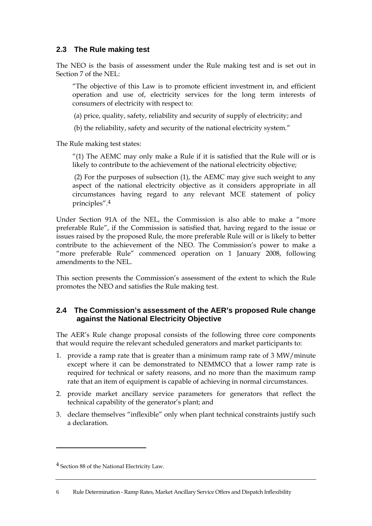### **2.3 The Rule making test**

The NEO is the basis of assessment under the Rule making test and is set out in Section 7 of the NEL:

"The objective of this Law is to promote efficient investment in, and efficient operation and use of, electricity services for the long term interests of consumers of electricity with respect to:

- (a) price, quality, safety, reliability and security of supply of electricity; and
- (b) the reliability, safety and security of the national electricity system."

The Rule making test states:

"(1) The AEMC may only make a Rule if it is satisfied that the Rule will or is likely to contribute to the achievement of the national electricity objective;

 (2) For the purposes of subsection (1), the AEMC may give such weight to any aspect of the national electricity objective as it considers appropriate in all circumstances having regard to any relevant MCE statement of policy principles".4

Under Section 91A of the NEL, the Commission is also able to make a "more preferable Rule", if the Commission is satisfied that, having regard to the issue or issues raised by the proposed Rule, the more preferable Rule will or is likely to better contribute to the achievement of the NEO. The Commission's power to make a "more preferable Rule" commenced operation on 1 January 2008, following amendments to the NEL.

This section presents the Commission's assessment of the extent to which the Rule promotes the NEO and satisfies the Rule making test.

#### **2.4 The Commission's assessment of the AER's proposed Rule change against the National Electricity Objective**

The AER's Rule change proposal consists of the following three core components that would require the relevant scheduled generators and market participants to:

- 1. provide a ramp rate that is greater than a minimum ramp rate of 3 MW/minute except where it can be demonstrated to NEMMCO that a lower ramp rate is required for technical or safety reasons, and no more than the maximum ramp rate that an item of equipment is capable of achieving in normal circumstances.
- 2. provide market ancillary service parameters for generators that reflect the technical capability of the generator's plant; and
- 3. declare themselves "inflexible" only when plant technical constraints justify such a declaration.

 $\overline{a}$ 

<sup>4</sup> Section 88 of the National Electricity Law.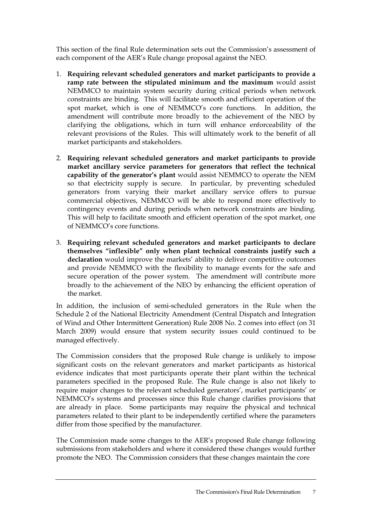This section of the final Rule determination sets out the Commission's assessment of each component of the AER's Rule change proposal against the NEO.

- 1. **Requiring relevant scheduled generators and market participants to provide a ramp rate between the stipulated minimum and the maximum** would assist NEMMCO to maintain system security during critical periods when network constraints are binding. This will facilitate smooth and efficient operation of the spot market, which is one of NEMMCO's core functions. In addition, the amendment will contribute more broadly to the achievement of the NEO by clarifying the obligations, which in turn will enhance enforceability of the relevant provisions of the Rules. This will ultimately work to the benefit of all market participants and stakeholders.
- 2. **Requiring relevant scheduled generators and market participants to provide market ancillary service parameters for generators that reflect the technical capability of the generator's plant** would assist NEMMCO to operate the NEM so that electricity supply is secure. In particular, by preventing scheduled generators from varying their market ancillary service offers to pursue commercial objectives, NEMMCO will be able to respond more effectively to contingency events and during periods when network constraints are binding. This will help to facilitate smooth and efficient operation of the spot market, one of NEMMCO's core functions.
- 3. **Requiring relevant scheduled generators and market participants to declare themselves "inflexible" only when plant technical constraints justify such a**  declaration would improve the markets' ability to deliver competitive outcomes and provide NEMMCO with the flexibility to manage events for the safe and secure operation of the power system. The amendment will contribute more broadly to the achievement of the NEO by enhancing the efficient operation of the market.

In addition, the inclusion of semi-scheduled generators in the Rule when the Schedule 2 of the National Electricity Amendment (Central Dispatch and Integration of Wind and Other Intermittent Generation) Rule 2008 No. 2 comes into effect (on 31 March 2009) would ensure that system security issues could continued to be managed effectively.

The Commission considers that the proposed Rule change is unlikely to impose significant costs on the relevant generators and market participants as historical evidence indicates that most participants operate their plant within the technical parameters specified in the proposed Rule. The Rule change is also not likely to require major changes to the relevant scheduled generators', market participants' or NEMMCO's systems and processes since this Rule change clarifies provisions that are already in place. Some participants may require the physical and technical parameters related to their plant to be independently certified where the parameters differ from those specified by the manufacturer.

The Commission made some changes to the AER's proposed Rule change following submissions from stakeholders and where it considered these changes would further promote the NEO. The Commission considers that these changes maintain the core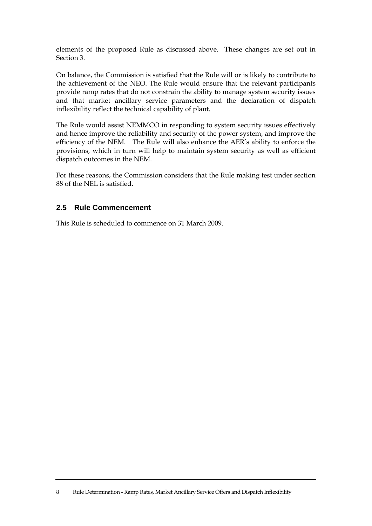elements of the proposed Rule as discussed above. These changes are set out in Section 3.

On balance, the Commission is satisfied that the Rule will or is likely to contribute to the achievement of the NEO. The Rule would ensure that the relevant participants provide ramp rates that do not constrain the ability to manage system security issues and that market ancillary service parameters and the declaration of dispatch inflexibility reflect the technical capability of plant.

The Rule would assist NEMMCO in responding to system security issues effectively and hence improve the reliability and security of the power system, and improve the efficiency of the NEM. The Rule will also enhance the AER's ability to enforce the provisions, which in turn will help to maintain system security as well as efficient dispatch outcomes in the NEM.

For these reasons, the Commission considers that the Rule making test under section 88 of the NEL is satisfied.

#### **2.5 Rule Commencement**

This Rule is scheduled to commence on 31 March 2009.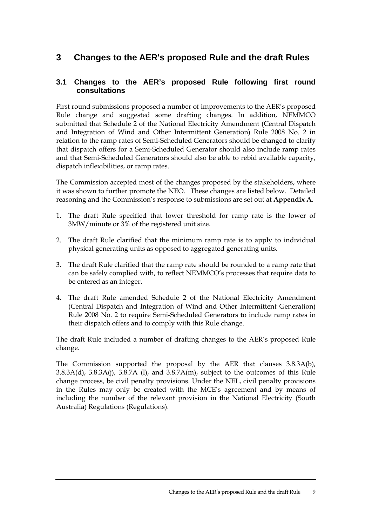# **3 Changes to the AER's proposed Rule and the draft Rules**

### **3.1 Changes to the AER's proposed Rule following first round consultations**

First round submissions proposed a number of improvements to the AER's proposed Rule change and suggested some drafting changes. In addition, NEMMCO submitted that Schedule 2 of the National Electricity Amendment (Central Dispatch and Integration of Wind and Other Intermittent Generation) Rule 2008 No. 2 in relation to the ramp rates of Semi-Scheduled Generators should be changed to clarify that dispatch offers for a Semi-Scheduled Generator should also include ramp rates and that Semi-Scheduled Generators should also be able to rebid available capacity, dispatch inflexibilities, or ramp rates.

The Commission accepted most of the changes proposed by the stakeholders, where it was shown to further promote the NEO. These changes are listed below. Detailed reasoning and the Commission's response to submissions are set out at **Appendix A**.

- 1. The draft Rule specified that lower threshold for ramp rate is the lower of 3MW/minute or 3% of the registered unit size.
- 2. The draft Rule clarified that the minimum ramp rate is to apply to individual physical generating units as opposed to aggregated generating units.
- 3. The draft Rule clarified that the ramp rate should be rounded to a ramp rate that can be safely complied with, to reflect NEMMCO's processes that require data to be entered as an integer.
- 4. The draft Rule amended Schedule 2 of the National Electricity Amendment (Central Dispatch and Integration of Wind and Other Intermittent Generation) Rule 2008 No. 2 to require Semi-Scheduled Generators to include ramp rates in their dispatch offers and to comply with this Rule change.

The draft Rule included a number of drafting changes to the AER's proposed Rule change.

The Commission supported the proposal by the AER that clauses 3.8.3A(b),  $3.8.3A(d)$ ,  $3.8.3A(i)$ ,  $3.8.7A(1)$ , and  $3.8.7A(m)$ , subject to the outcomes of this Rule change process, be civil penalty provisions. Under the NEL, civil penalty provisions in the Rules may only be created with the MCE's agreement and by means of including the number of the relevant provision in the National Electricity (South Australia) Regulations (Regulations).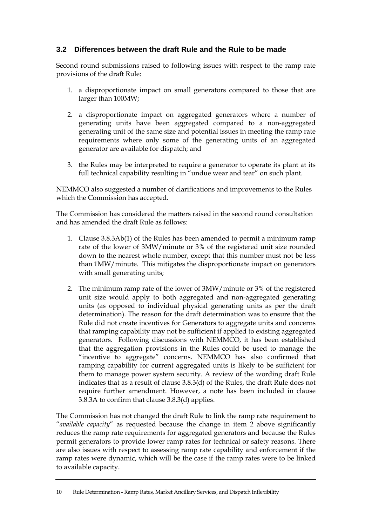## **3.2 Differences between the draft Rule and the Rule to be made**

Second round submissions raised to following issues with respect to the ramp rate provisions of the draft Rule:

- 1. a disproportionate impact on small generators compared to those that are larger than 100MW;
- 2. a disproportionate impact on aggregated generators where a number of generating units have been aggregated compared to a non-aggregated generating unit of the same size and potential issues in meeting the ramp rate requirements where only some of the generating units of an aggregated generator are available for dispatch; and
- 3. the Rules may be interpreted to require a generator to operate its plant at its full technical capability resulting in "undue wear and tear" on such plant.

NEMMCO also suggested a number of clarifications and improvements to the Rules which the Commission has accepted.

The Commission has considered the matters raised in the second round consultation and has amended the draft Rule as follows:

- 1. Clause 3.8.3Ab(1) of the Rules has been amended to permit a minimum ramp rate of the lower of 3MW/minute or 3% of the registered unit size rounded down to the nearest whole number, except that this number must not be less than 1MW/minute. This mitigates the disproportionate impact on generators with small generating units;
- 2. The minimum ramp rate of the lower of 3MW/minute or 3% of the registered unit size would apply to both aggregated and non-aggregated generating units (as opposed to individual physical generating units as per the draft determination). The reason for the draft determination was to ensure that the Rule did not create incentives for Generators to aggregate units and concerns that ramping capability may not be sufficient if applied to existing aggregated generators. Following discussions with NEMMCO, it has been established that the aggregation provisions in the Rules could be used to manage the "incentive to aggregate" concerns. NEMMCO has also confirmed that ramping capability for current aggregated units is likely to be sufficient for them to manage power system security. A review of the wording draft Rule indicates that as a result of clause 3.8.3(d) of the Rules, the draft Rule does not require further amendment. However, a note has been included in clause 3.8.3A to confirm that clause 3.8.3(d) applies.

The Commission has not changed the draft Rule to link the ramp rate requirement to "*available capacity*" as requested because the change in item 2 above significantly reduces the ramp rate requirements for aggregated generators and because the Rules permit generators to provide lower ramp rates for technical or safety reasons. There are also issues with respect to assessing ramp rate capability and enforcement if the ramp rates were dynamic, which will be the case if the ramp rates were to be linked to available capacity.

<sup>10</sup> Rule Determination - Ramp Rates, Market Ancillary Services, and Dispatch Inflexibility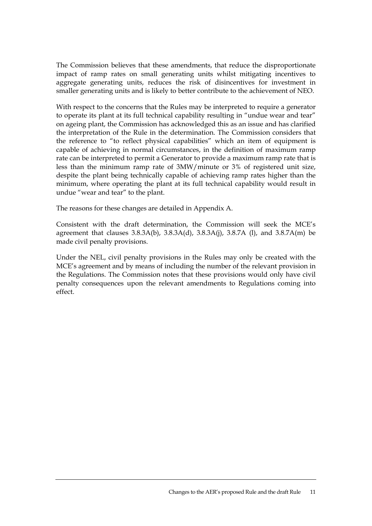The Commission believes that these amendments, that reduce the disproportionate impact of ramp rates on small generating units whilst mitigating incentives to aggregate generating units, reduces the risk of disincentives for investment in smaller generating units and is likely to better contribute to the achievement of NEO.

With respect to the concerns that the Rules may be interpreted to require a generator to operate its plant at its full technical capability resulting in "undue wear and tear" on ageing plant, the Commission has acknowledged this as an issue and has clarified the interpretation of the Rule in the determination. The Commission considers that the reference to "to reflect physical capabilities" which an item of equipment is capable of achieving in normal circumstances, in the definition of maximum ramp rate can be interpreted to permit a Generator to provide a maximum ramp rate that is less than the minimum ramp rate of 3MW/minute or 3% of registered unit size, despite the plant being technically capable of achieving ramp rates higher than the minimum, where operating the plant at its full technical capability would result in undue "wear and tear" to the plant.

The reasons for these changes are detailed in Appendix A.

Consistent with the draft determination, the Commission will seek the MCE's agreement that clauses 3.8.3A(b), 3.8.3A(d), 3.8.3A(j), 3.8.7A (l), and 3.8.7A(m) be made civil penalty provisions.

Under the NEL, civil penalty provisions in the Rules may only be created with the MCE's agreement and by means of including the number of the relevant provision in the Regulations. The Commission notes that these provisions would only have civil penalty consequences upon the relevant amendments to Regulations coming into effect.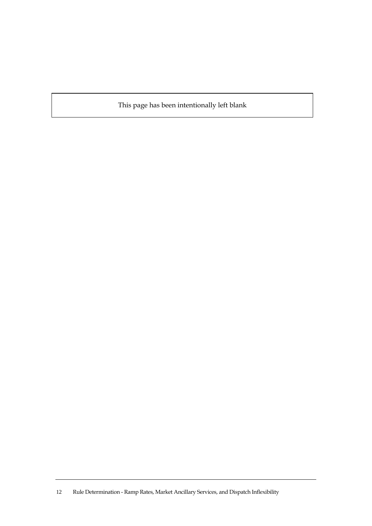This page has been intentionally left blank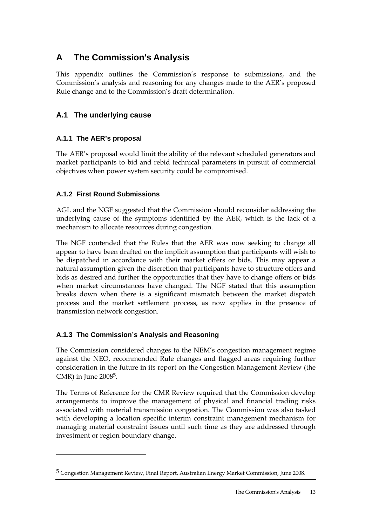# **A The Commission's Analysis**

This appendix outlines the Commission's response to submissions, and the Commission's analysis and reasoning for any changes made to the AER's proposed Rule change and to the Commission's draft determination.

# **A.1 The underlying cause**

# **A.1.1 The AER's proposal**

The AER's proposal would limit the ability of the relevant scheduled generators and market participants to bid and rebid technical parameters in pursuit of commercial objectives when power system security could be compromised.

# **A.1.2 First Round Submissions**

 $\overline{a}$ 

AGL and the NGF suggested that the Commission should reconsider addressing the underlying cause of the symptoms identified by the AER, which is the lack of a mechanism to allocate resources during congestion.

The NGF contended that the Rules that the AER was now seeking to change all appear to have been drafted on the implicit assumption that participants will wish to be dispatched in accordance with their market offers or bids. This may appear a natural assumption given the discretion that participants have to structure offers and bids as desired and further the opportunities that they have to change offers or bids when market circumstances have changed. The NGF stated that this assumption breaks down when there is a significant mismatch between the market dispatch process and the market settlement process, as now applies in the presence of transmission network congestion.

## **A.1.3 The Commission's Analysis and Reasoning**

The Commission considered changes to the NEM's congestion management regime against the NEO, recommended Rule changes and flagged areas requiring further consideration in the future in its report on the Congestion Management Review (the CMR) in June 20085.

The Terms of Reference for the CMR Review required that the Commission develop arrangements to improve the management of physical and financial trading risks associated with material transmission congestion. The Commission was also tasked with developing a location specific interim constraint management mechanism for managing material constraint issues until such time as they are addressed through investment or region boundary change.

<sup>5</sup> Congestion Management Review, Final Report, Australian Energy Market Commission, June 2008.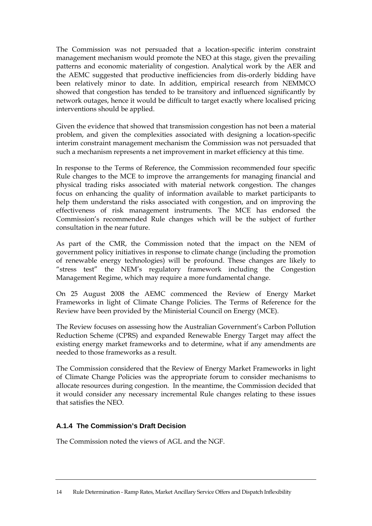The Commission was not persuaded that a location-specific interim constraint management mechanism would promote the NEO at this stage, given the prevailing patterns and economic materiality of congestion. Analytical work by the AER and the AEMC suggested that productive inefficiencies from dis-orderly bidding have been relatively minor to date. In addition, empirical research from NEMMCO showed that congestion has tended to be transitory and influenced significantly by network outages, hence it would be difficult to target exactly where localised pricing interventions should be applied.

Given the evidence that showed that transmission congestion has not been a material problem, and given the complexities associated with designing a location-specific interim constraint management mechanism the Commission was not persuaded that such a mechanism represents a net improvement in market efficiency at this time.

In response to the Terms of Reference, the Commission recommended four specific Rule changes to the MCE to improve the arrangements for managing financial and physical trading risks associated with material network congestion. The changes focus on enhancing the quality of information available to market participants to help them understand the risks associated with congestion, and on improving the effectiveness of risk management instruments. The MCE has endorsed the Commission's recommended Rule changes which will be the subject of further consultation in the near future.

As part of the CMR, the Commission noted that the impact on the NEM of government policy initiatives in response to climate change (including the promotion of renewable energy technologies) will be profound. These changes are likely to "stress test" the NEM's regulatory framework including the Congestion Management Regime, which may require a more fundamental change.

On 25 August 2008 the AEMC commenced the Review of Energy Market Frameworks in light of Climate Change Policies. The Terms of Reference for the Review have been provided by the Ministerial Council on Energy (MCE).

The Review focuses on assessing how the Australian Government's Carbon Pollution Reduction Scheme (CPRS) and expanded Renewable Energy Target may affect the existing energy market frameworks and to determine, what if any amendments are needed to those frameworks as a result.

The Commission considered that the Review of Energy Market Frameworks in light of Climate Change Policies was the appropriate forum to consider mechanisms to allocate resources during congestion. In the meantime, the Commission decided that it would consider any necessary incremental Rule changes relating to these issues that satisfies the NEO.

## **A.1.4 The Commission's Draft Decision**

The Commission noted the views of AGL and the NGF.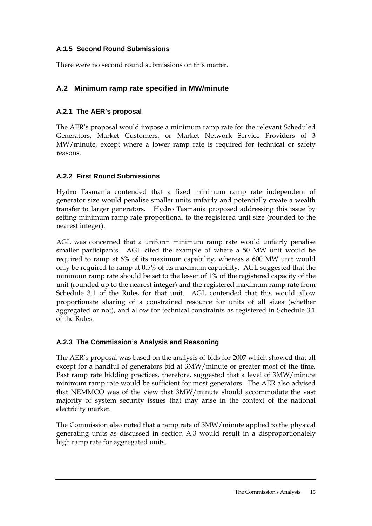#### **A.1.5 Second Round Submissions**

There were no second round submissions on this matter.

## **A.2 Minimum ramp rate specified in MW/minute**

#### **A.2.1 The AER's proposal**

The AER's proposal would impose a minimum ramp rate for the relevant Scheduled Generators, Market Customers, or Market Network Service Providers of 3 MW/minute, except where a lower ramp rate is required for technical or safety reasons.

#### **A.2.2 First Round Submissions**

Hydro Tasmania contended that a fixed minimum ramp rate independent of generator size would penalise smaller units unfairly and potentially create a wealth transfer to larger generators. Hydro Tasmania proposed addressing this issue by setting minimum ramp rate proportional to the registered unit size (rounded to the nearest integer).

AGL was concerned that a uniform minimum ramp rate would unfairly penalise smaller participants. AGL cited the example of where a 50 MW unit would be required to ramp at 6% of its maximum capability, whereas a 600 MW unit would only be required to ramp at 0.5% of its maximum capability. AGL suggested that the minimum ramp rate should be set to the lesser of 1% of the registered capacity of the unit (rounded up to the nearest integer) and the registered maximum ramp rate from Schedule 3.1 of the Rules for that unit. AGL contended that this would allow proportionate sharing of a constrained resource for units of all sizes (whether aggregated or not), and allow for technical constraints as registered in Schedule 3.1 of the Rules.

#### **A.2.3 The Commission's Analysis and Reasoning**

The AER's proposal was based on the analysis of bids for 2007 which showed that all except for a handful of generators bid at 3MW/minute or greater most of the time. Past ramp rate bidding practices, therefore, suggested that a level of 3MW/minute minimum ramp rate would be sufficient for most generators. The AER also advised that NEMMCO was of the view that 3MW/minute should accommodate the vast majority of system security issues that may arise in the context of the national electricity market.

The Commission also noted that a ramp rate of 3MW/minute applied to the physical generating units as discussed in section A.3 would result in a disproportionately high ramp rate for aggregated units.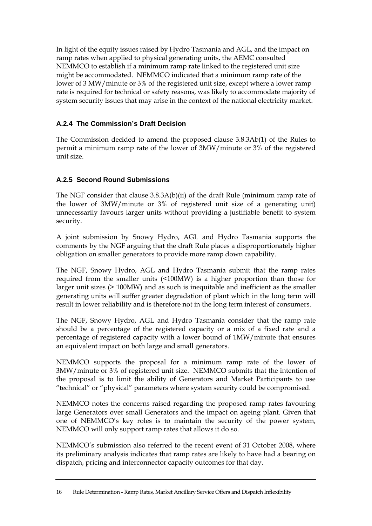In light of the equity issues raised by Hydro Tasmania and AGL, and the impact on ramp rates when applied to physical generating units, the AEMC consulted NEMMCO to establish if a minimum ramp rate linked to the registered unit size might be accommodated. NEMMCO indicated that a minimum ramp rate of the lower of 3 MW/minute or 3% of the registered unit size, except where a lower ramp rate is required for technical or safety reasons, was likely to accommodate majority of system security issues that may arise in the context of the national electricity market.

## **A.2.4 The Commission's Draft Decision**

The Commission decided to amend the proposed clause 3.8.3Ab(1) of the Rules to permit a minimum ramp rate of the lower of 3MW/minute or 3% of the registered unit size.

# **A.2.5 Second Round Submissions**

The NGF consider that clause 3.8.3A(b)(ii) of the draft Rule (minimum ramp rate of the lower of 3MW/minute or 3% of registered unit size of a generating unit) unnecessarily favours larger units without providing a justifiable benefit to system security.

A joint submission by Snowy Hydro, AGL and Hydro Tasmania supports the comments by the NGF arguing that the draft Rule places a disproportionately higher obligation on smaller generators to provide more ramp down capability.

The NGF, Snowy Hydro, AGL and Hydro Tasmania submit that the ramp rates required from the smaller units (<100MW) is a higher proportion than those for larger unit sizes (> 100MW) and as such is inequitable and inefficient as the smaller generating units will suffer greater degradation of plant which in the long term will result in lower reliability and is therefore not in the long term interest of consumers.

The NGF, Snowy Hydro, AGL and Hydro Tasmania consider that the ramp rate should be a percentage of the registered capacity or a mix of a fixed rate and a percentage of registered capacity with a lower bound of 1MW/minute that ensures an equivalent impact on both large and small generators.

NEMMCO supports the proposal for a minimum ramp rate of the lower of 3MW/minute or 3% of registered unit size. NEMMCO submits that the intention of the proposal is to limit the ability of Generators and Market Participants to use "technical" or "physical" parameters where system security could be compromised.

NEMMCO notes the concerns raised regarding the proposed ramp rates favouring large Generators over small Generators and the impact on ageing plant. Given that one of NEMMCO's key roles is to maintain the security of the power system, NEMMCO will only support ramp rates that allows it do so.

NEMMCO's submission also referred to the recent event of 31 October 2008, where its preliminary analysis indicates that ramp rates are likely to have had a bearing on dispatch, pricing and interconnector capacity outcomes for that day.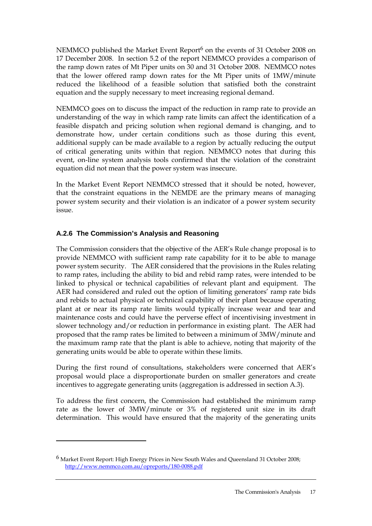NEMMCO published the Market Event Report<sup>6</sup> on the events of 31 October 2008 on 17 December 2008. In section 5.2 of the report NEMMCO provides a comparison of the ramp down rates of Mt Piper units on 30 and 31 October 2008. NEMMCO notes that the lower offered ramp down rates for the Mt Piper units of 1MW/minute reduced the likelihood of a feasible solution that satisfied both the constraint equation and the supply necessary to meet increasing regional demand.

NEMMCO goes on to discuss the impact of the reduction in ramp rate to provide an understanding of the way in which ramp rate limits can affect the identification of a feasible dispatch and pricing solution when regional demand is changing, and to demonstrate how, under certain conditions such as those during this event, additional supply can be made available to a region by actually reducing the output of critical generating units within that region. NEMMCO notes that during this event, on-line system analysis tools confirmed that the violation of the constraint equation did not mean that the power system was insecure.

In the Market Event Report NEMMCO stressed that it should be noted, however, that the constraint equations in the NEMDE are the primary means of managing power system security and their violation is an indicator of a power system security issue.

#### **A.2.6 The Commission's Analysis and Reasoning**

 $\overline{a}$ 

The Commission considers that the objective of the AER's Rule change proposal is to provide NEMMCO with sufficient ramp rate capability for it to be able to manage power system security. The AER considered that the provisions in the Rules relating to ramp rates, including the ability to bid and rebid ramp rates, were intended to be linked to physical or technical capabilities of relevant plant and equipment. The AER had considered and ruled out the option of limiting generators' ramp rate bids and rebids to actual physical or technical capability of their plant because operating plant at or near its ramp rate limits would typically increase wear and tear and maintenance costs and could have the perverse effect of incentivising investment in slower technology and/or reduction in performance in existing plant. The AER had proposed that the ramp rates be limited to between a minimum of 3MW/minute and the maximum ramp rate that the plant is able to achieve, noting that majority of the generating units would be able to operate within these limits.

During the first round of consultations, stakeholders were concerned that AER's proposal would place a disproportionate burden on smaller generators and create incentives to aggregate generating units (aggregation is addressed in section A.3).

To address the first concern, the Commission had established the minimum ramp rate as the lower of 3MW/minute or 3% of registered unit size in its draft determination. This would have ensured that the majority of the generating units

<sup>6</sup> Market Event Report: High Energy Prices in New South Wales and Queensland 31 October 2008; http://www.nemmco.com.au/opreports/180-0088.pdf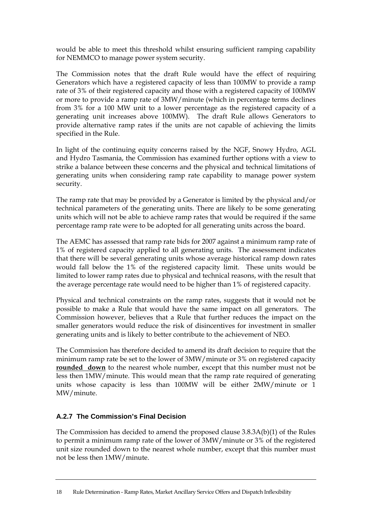would be able to meet this threshold whilst ensuring sufficient ramping capability for NEMMCO to manage power system security.

The Commission notes that the draft Rule would have the effect of requiring Generators which have a registered capacity of less than 100MW to provide a ramp rate of 3% of their registered capacity and those with a registered capacity of 100MW or more to provide a ramp rate of 3MW/minute (which in percentage terms declines from 3% for a 100 MW unit to a lower percentage as the registered capacity of a generating unit increases above 100MW). The draft Rule allows Generators to provide alternative ramp rates if the units are not capable of achieving the limits specified in the Rule.

In light of the continuing equity concerns raised by the NGF, Snowy Hydro, AGL and Hydro Tasmania, the Commission has examined further options with a view to strike a balance between these concerns and the physical and technical limitations of generating units when considering ramp rate capability to manage power system security.

The ramp rate that may be provided by a Generator is limited by the physical and/or technical parameters of the generating units. There are likely to be some generating units which will not be able to achieve ramp rates that would be required if the same percentage ramp rate were to be adopted for all generating units across the board.

The AEMC has assessed that ramp rate bids for 2007 against a minimum ramp rate of 1% of registered capacity applied to all generating units. The assessment indicates that there will be several generating units whose average historical ramp down rates would fall below the 1% of the registered capacity limit. These units would be limited to lower ramp rates due to physical and technical reasons, with the result that the average percentage rate would need to be higher than 1% of registered capacity.

Physical and technical constraints on the ramp rates, suggests that it would not be possible to make a Rule that would have the same impact on all generators. The Commission however, believes that a Rule that further reduces the impact on the smaller generators would reduce the risk of disincentives for investment in smaller generating units and is likely to better contribute to the achievement of NEO.

The Commission has therefore decided to amend its draft decision to require that the minimum ramp rate be set to the lower of 3MW/minute or 3% on registered capacity **rounded down** to the nearest whole number, except that this number must not be less then 1MW/minute. This would mean that the ramp rate required of generating units whose capacity is less than 100MW will be either 2MW/minute or 1 MW/minute.

#### **A.2.7 The Commission's Final Decision**

The Commission has decided to amend the proposed clause 3.8.3A(b)(1) of the Rules to permit a minimum ramp rate of the lower of 3MW/minute or 3% of the registered unit size rounded down to the nearest whole number, except that this number must not be less then 1MW/minute.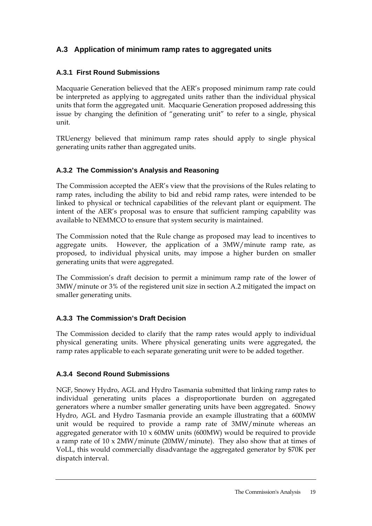# **A.3 Application of minimum ramp rates to aggregated units**

## **A.3.1 First Round Submissions**

Macquarie Generation believed that the AER's proposed minimum ramp rate could be interpreted as applying to aggregated units rather than the individual physical units that form the aggregated unit. Macquarie Generation proposed addressing this issue by changing the definition of "generating unit" to refer to a single, physical unit.

TRUenergy believed that minimum ramp rates should apply to single physical generating units rather than aggregated units.

#### **A.3.2 The Commission's Analysis and Reasoning**

The Commission accepted the AER's view that the provisions of the Rules relating to ramp rates, including the ability to bid and rebid ramp rates, were intended to be linked to physical or technical capabilities of the relevant plant or equipment. The intent of the AER's proposal was to ensure that sufficient ramping capability was available to NEMMCO to ensure that system security is maintained.

The Commission noted that the Rule change as proposed may lead to incentives to aggregate units. However, the application of a 3MW/minute ramp rate, as proposed, to individual physical units, may impose a higher burden on smaller generating units that were aggregated.

The Commission's draft decision to permit a minimum ramp rate of the lower of 3MW/minute or 3% of the registered unit size in section A.2 mitigated the impact on smaller generating units.

## **A.3.3 The Commission's Draft Decision**

The Commission decided to clarify that the ramp rates would apply to individual physical generating units. Where physical generating units were aggregated, the ramp rates applicable to each separate generating unit were to be added together.

#### **A.3.4 Second Round Submissions**

NGF, Snowy Hydro, AGL and Hydro Tasmania submitted that linking ramp rates to individual generating units places a disproportionate burden on aggregated generators where a number smaller generating units have been aggregated. Snowy Hydro, AGL and Hydro Tasmania provide an example illustrating that a 600MW unit would be required to provide a ramp rate of 3MW/minute whereas an aggregated generator with  $10 \times 60$ MW units (600MW) would be required to provide a ramp rate of 10 x 2MW/minute (20MW/minute). They also show that at times of VoLL, this would commercially disadvantage the aggregated generator by \$70K per dispatch interval.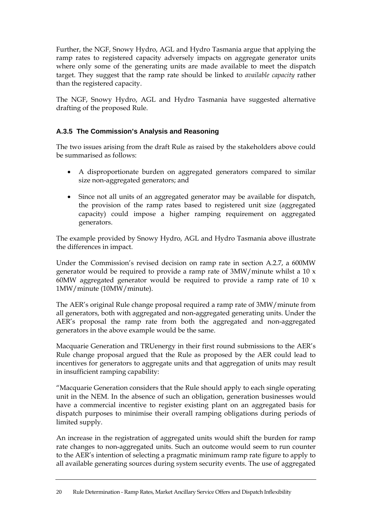Further, the NGF, Snowy Hydro, AGL and Hydro Tasmania argue that applying the ramp rates to registered capacity adversely impacts on aggregate generator units where only some of the generating units are made available to meet the dispatch target. They suggest that the ramp rate should be linked to *available capacity* rather than the registered capacity.

The NGF, Snowy Hydro, AGL and Hydro Tasmania have suggested alternative drafting of the proposed Rule.

### **A.3.5 The Commission's Analysis and Reasoning**

The two issues arising from the draft Rule as raised by the stakeholders above could be summarised as follows:

- A disproportionate burden on aggregated generators compared to similar size non-aggregated generators; and
- Since not all units of an aggregated generator may be available for dispatch, the provision of the ramp rates based to registered unit size (aggregated capacity) could impose a higher ramping requirement on aggregated generators.

The example provided by Snowy Hydro, AGL and Hydro Tasmania above illustrate the differences in impact.

Under the Commission's revised decision on ramp rate in section A.2.7, a 600MW generator would be required to provide a ramp rate of 3MW/minute whilst a 10 x 60MW aggregated generator would be required to provide a ramp rate of 10  $x$ 1MW/minute (10MW/minute).

The AER's original Rule change proposal required a ramp rate of 3MW/minute from all generators, both with aggregated and non-aggregated generating units. Under the AER's proposal the ramp rate from both the aggregated and non-aggregated generators in the above example would be the same.

Macquarie Generation and TRUenergy in their first round submissions to the AER's Rule change proposal argued that the Rule as proposed by the AER could lead to incentives for generators to aggregate units and that aggregation of units may result in insufficient ramping capability:

"Macquarie Generation considers that the Rule should apply to each single operating unit in the NEM. In the absence of such an obligation, generation businesses would have a commercial incentive to register existing plant on an aggregated basis for dispatch purposes to minimise their overall ramping obligations during periods of limited supply.

An increase in the registration of aggregated units would shift the burden for ramp rate changes to non-aggregated units. Such an outcome would seem to run counter to the AER's intention of selecting a pragmatic minimum ramp rate figure to apply to all available generating sources during system security events. The use of aggregated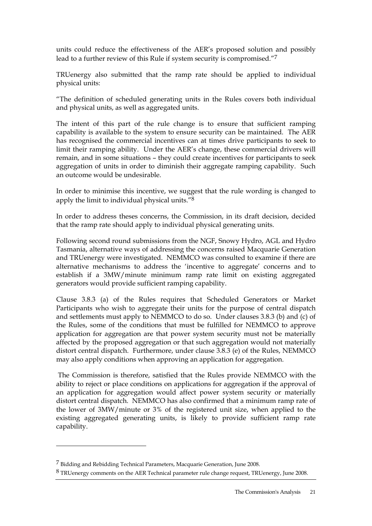units could reduce the effectiveness of the AER's proposed solution and possibly lead to a further review of this Rule if system security is compromised."7

TRUenergy also submitted that the ramp rate should be applied to individual physical units:

"The definition of scheduled generating units in the Rules covers both individual and physical units, as well as aggregated units.

The intent of this part of the rule change is to ensure that sufficient ramping capability is available to the system to ensure security can be maintained. The AER has recognised the commercial incentives can at times drive participants to seek to limit their ramping ability. Under the AER's change, these commercial drivers will remain, and in some situations – they could create incentives for participants to seek aggregation of units in order to diminish their aggregate ramping capability. Such an outcome would be undesirable.

In order to minimise this incentive, we suggest that the rule wording is changed to apply the limit to individual physical units."8

In order to address theses concerns, the Commission, in its draft decision, decided that the ramp rate should apply to individual physical generating units.

Following second round submissions from the NGF, Snowy Hydro, AGL and Hydro Tasmania, alternative ways of addressing the concerns raised Macquarie Generation and TRUenergy were investigated. NEMMCO was consulted to examine if there are alternative mechanisms to address the 'incentive to aggregate' concerns and to establish if a 3MW/minute minimum ramp rate limit on existing aggregated generators would provide sufficient ramping capability.

Clause 3.8.3 (a) of the Rules requires that Scheduled Generators or Market Participants who wish to aggregate their units for the purpose of central dispatch and settlements must apply to NEMMCO to do so. Under clauses 3.8.3 (b) and (c) of the Rules, some of the conditions that must be fulfilled for NEMMCO to approve application for aggregation are that power system security must not be materially affected by the proposed aggregation or that such aggregation would not materially distort central dispatch. Furthermore, under clause 3.8.3 (e) of the Rules, NEMMCO may also apply conditions when approving an application for aggregation.

 The Commission is therefore, satisfied that the Rules provide NEMMCO with the ability to reject or place conditions on applications for aggregation if the approval of an application for aggregation would affect power system security or materially distort central dispatch. NEMMCO has also confirmed that a minimum ramp rate of the lower of 3MW/minute or 3% of the registered unit size, when applied to the existing aggregated generating units, is likely to provide sufficient ramp rate capability.

 $\overline{a}$ 

<sup>7</sup> Bidding and Rebidding Technical Parameters, Macquarie Generation, June 2008.

<sup>8</sup> TRUenergy comments on the AER Technical parameter rule change request, TRUenergy, June 2008.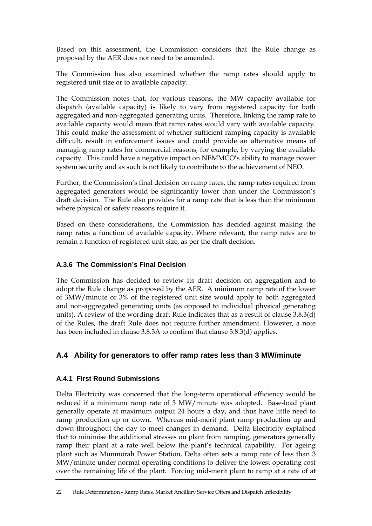Based on this assessment, the Commission considers that the Rule change as proposed by the AER does not need to be amended.

The Commission has also examined whether the ramp rates should apply to registered unit size or to available capacity.

The Commission notes that, for various reasons, the MW capacity available for dispatch (available capacity) is likely to vary from registered capacity for both aggregated and non-aggregated generating units. Therefore, linking the ramp rate to available capacity would mean that ramp rates would vary with available capacity. This could make the assessment of whether sufficient ramping capacity is available difficult, result in enforcement issues and could provide an alternative means of managing ramp rates for commercial reasons, for example, by varying the available capacity. This could have a negative impact on NEMMCO's ability to manage power system security and as such is not likely to contribute to the achievement of NEO.

Further, the Commission's final decision on ramp rates, the ramp rates required from aggregated generators would be significantly lower than under the Commission's draft decision. The Rule also provides for a ramp rate that is less than the minimum where physical or safety reasons require it.

Based on these considerations, the Commission has decided against making the ramp rates a function of available capacity. Where relevant, the ramp rates are to remain a function of registered unit size, as per the draft decision.

#### **A.3.6 The Commission's Final Decision**

The Commission has decided to review its draft decision on aggregation and to adopt the Rule change as proposed by the AER. A minimum ramp rate of the lower of 3MW/minute or 3% of the registered unit size would apply to both aggregated and non-aggregated generating units (as opposed to individual physical generating units). A review of the wording draft Rule indicates that as a result of clause 3.8.3(d) of the Rules, the draft Rule does not require further amendment. However, a note has been included in clause 3.8.3A to confirm that clause 3.8.3(d) applies.

#### **A.4 Ability for generators to offer ramp rates less than 3 MW/minute**

#### **A.4.1 First Round Submissions**

Delta Electricity was concerned that the long-term operational efficiency would be reduced if a minimum ramp rate of 3 MW/minute was adopted. Base-load plant generally operate at maximum output 24 hours a day, and thus have little need to ramp production up or down. Whereas mid-merit plant ramp production up and down throughout the day to meet changes in demand. Delta Electricity explained that to minimise the additional stresses on plant from ramping, generators generally ramp their plant at a rate well below the plant's technical capability. For ageing plant such as Munmorah Power Station, Delta often sets a ramp rate of less than 3 MW/minute under normal operating conditions to deliver the lowest operating cost over the remaining life of the plant. Forcing mid-merit plant to ramp at a rate of at

<sup>22</sup> Rule Determination - Ramp Rates, Market Ancillary Service Offers and Dispatch Inflexibility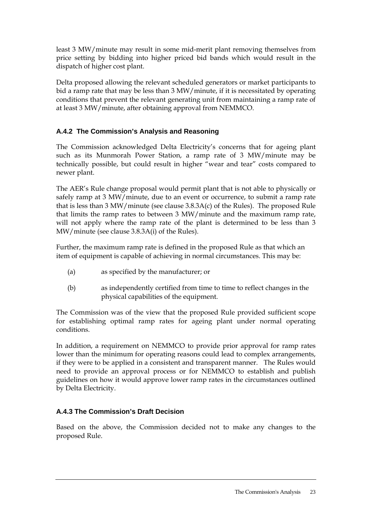least 3 MW/minute may result in some mid-merit plant removing themselves from price setting by bidding into higher priced bid bands which would result in the dispatch of higher cost plant.

Delta proposed allowing the relevant scheduled generators or market participants to bid a ramp rate that may be less than 3 MW/minute, if it is necessitated by operating conditions that prevent the relevant generating unit from maintaining a ramp rate of at least 3 MW/minute, after obtaining approval from NEMMCO.

# **A.4.2 The Commission's Analysis and Reasoning**

The Commission acknowledged Delta Electricity's concerns that for ageing plant such as its Munmorah Power Station, a ramp rate of 3 MW/minute may be technically possible, but could result in higher "wear and tear" costs compared to newer plant.

The AER's Rule change proposal would permit plant that is not able to physically or safely ramp at 3 MW/minute, due to an event or occurrence, to submit a ramp rate that is less than 3 MW/minute (see clause 3.8.3A(c) of the Rules). The proposed Rule that limits the ramp rates to between 3 MW/minute and the maximum ramp rate, will not apply where the ramp rate of the plant is determined to be less than 3 MW/minute (see clause 3.8.3A(i) of the Rules).

Further, the maximum ramp rate is defined in the proposed Rule as that which an item of equipment is capable of achieving in normal circumstances. This may be:

- (a) as specified by the manufacturer; or
- (b) as independently certified from time to time to reflect changes in the physical capabilities of the equipment.

The Commission was of the view that the proposed Rule provided sufficient scope for establishing optimal ramp rates for ageing plant under normal operating conditions.

In addition, a requirement on NEMMCO to provide prior approval for ramp rates lower than the minimum for operating reasons could lead to complex arrangements, if they were to be applied in a consistent and transparent manner. The Rules would need to provide an approval process or for NEMMCO to establish and publish guidelines on how it would approve lower ramp rates in the circumstances outlined by Delta Electricity.

## **A.4.3 The Commission's Draft Decision**

Based on the above, the Commission decided not to make any changes to the proposed Rule.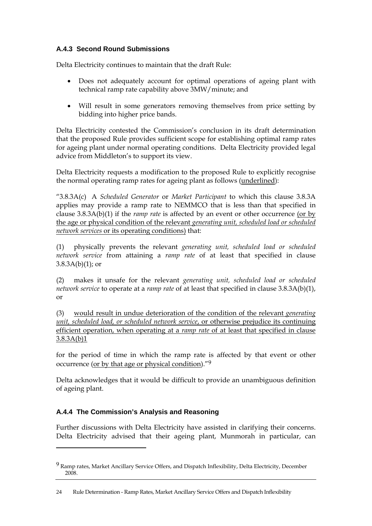#### **A.4.3 Second Round Submissions**

Delta Electricity continues to maintain that the draft Rule:

- Does not adequately account for optimal operations of ageing plant with technical ramp rate capability above 3MW/minute; and
- Will result in some generators removing themselves from price setting by bidding into higher price bands.

Delta Electricity contested the Commission's conclusion in its draft determination that the proposed Rule provides sufficient scope for establishing optimal ramp rates for ageing plant under normal operating conditions. Delta Electricity provided legal advice from Middleton's to support its view.

Delta Electricity requests a modification to the proposed Rule to explicitly recognise the normal operating ramp rates for ageing plant as follows (underlined):

"3.8.3A(c) A *Scheduled Generator* or *Market Participant* to which this clause 3.8.3A applies may provide a ramp rate to NEMMCO that is less than that specified in clause 3.8.3A(b)(1) if the *ramp rate* is affected by an event or other occurrence (or by the age or physical condition of the relevant *generating unit, scheduled load or scheduled network services* or its operating conditions) that:

(1) physically prevents the relevant *generating unit, scheduled load or scheduled network service* from attaining a *ramp rate* of at least that specified in clause  $3.8.3A(b)(1)$ ; or

(2) makes it unsafe for the relevant *generating unit, scheduled load or scheduled network service* to operate at a *ramp rate* of at least that specified in clause 3.8.3A(b)(1), or

(3) would result in undue deterioration of the condition of the relevant *generating unit, scheduled load, or scheduled network service*, or otherwise prejudice its continuing efficient operation, when operating at a *ramp rate* of at least that specified in clause 3.8.3A(b)1

for the period of time in which the ramp rate is affected by that event or other occurrence (or by that age or physical condition)."9

Delta acknowledges that it would be difficult to provide an unambiguous definition of ageing plant.

## **A.4.4 The Commission's Analysis and Reasoning**

 $\overline{a}$ 

Further discussions with Delta Electricity have assisted in clarifying their concerns. Delta Electricity advised that their ageing plant, Munmorah in particular, can

<sup>9</sup> Ramp rates, Market Ancillary Service Offers, and Dispatch Inflexibility, Delta Electricity, December 2008.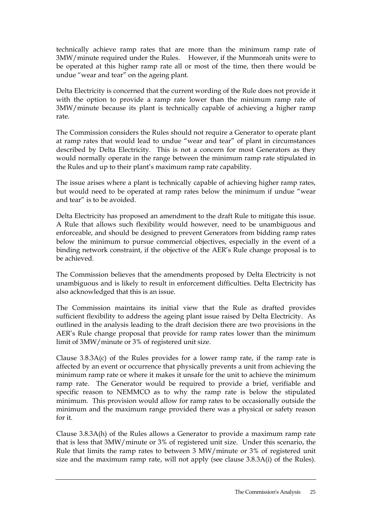technically achieve ramp rates that are more than the minimum ramp rate of 3MW/minute required under the Rules. However, if the Munmorah units were to be operated at this higher ramp rate all or most of the time, then there would be undue "wear and tear" on the ageing plant.

Delta Electricity is concerned that the current wording of the Rule does not provide it with the option to provide a ramp rate lower than the minimum ramp rate of 3MW/minute because its plant is technically capable of achieving a higher ramp rate.

The Commission considers the Rules should not require a Generator to operate plant at ramp rates that would lead to undue "wear and tear" of plant in circumstances described by Delta Electricity. This is not a concern for most Generators as they would normally operate in the range between the minimum ramp rate stipulated in the Rules and up to their plant's maximum ramp rate capability.

The issue arises where a plant is technically capable of achieving higher ramp rates, but would need to be operated at ramp rates below the minimum if undue "wear and tear" is to be avoided.

Delta Electricity has proposed an amendment to the draft Rule to mitigate this issue. A Rule that allows such flexibility would however, need to be unambiguous and enforceable, and should be designed to prevent Generators from bidding ramp rates below the minimum to pursue commercial objectives, especially in the event of a binding network constraint, if the objective of the AER's Rule change proposal is to be achieved.

The Commission believes that the amendments proposed by Delta Electricity is not unambiguous and is likely to result in enforcement difficulties. Delta Electricity has also acknowledged that this is an issue.

The Commission maintains its initial view that the Rule as drafted provides sufficient flexibility to address the ageing plant issue raised by Delta Electricity. As outlined in the analysis leading to the draft decision there are two provisions in the AER's Rule change proposal that provide for ramp rates lower than the minimum limit of 3MW/minute or 3% of registered unit size.

Clause 3.8.3A(c) of the Rules provides for a lower ramp rate, if the ramp rate is affected by an event or occurrence that physically prevents a unit from achieving the minimum ramp rate or where it makes it unsafe for the unit to achieve the minimum ramp rate. The Generator would be required to provide a brief, verifiable and specific reason to NEMMCO as to why the ramp rate is below the stipulated minimum. This provision would allow for ramp rates to be occasionally outside the minimum and the maximum range provided there was a physical or safety reason for it.

Clause 3.8.3A(h) of the Rules allows a Generator to provide a maximum ramp rate that is less that 3MW/minute or 3% of registered unit size. Under this scenario, the Rule that limits the ramp rates to between 3 MW/minute or 3% of registered unit size and the maximum ramp rate, will not apply (see clause 3.8.3A(i) of the Rules).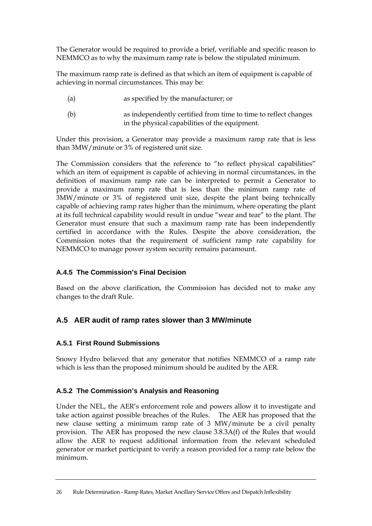The Generator would be required to provide a brief, verifiable and specific reason to NEMMCO as to why the maximum ramp rate is below the stipulated minimum.

The maximum ramp rate is defined as that which an item of equipment is capable of achieving in normal circumstances. This may be:

- (a) as specified by the manufacturer; or
- (b) as independently certified from time to time to reflect changes in the physical capabilities of the equipment.

Under this provision, a Generator may provide a maximum ramp rate that is less than 3MW/minute or 3% of registered unit size.

The Commission considers that the reference to "to reflect physical capabilities" which an item of equipment is capable of achieving in normal circumstances, in the definition of maximum ramp rate can be interpreted to permit a Generator to provide a maximum ramp rate that is less than the minimum ramp rate of 3MW/minute or 3% of registered unit size, despite the plant being technically capable of achieving ramp rates higher than the minimum, where operating the plant at its full technical capability would result in undue "wear and tear" to the plant. The Generator must ensure that such a maximum ramp rate has been independently certified in accordance with the Rules. Despite the above consideration, the Commission notes that the requirement of sufficient ramp rate capability for NEMMCO to manage power system security remains paramount.

#### **A.4.5 The Commission's Final Decision**

Based on the above clarification, the Commission has decided not to make any changes to the draft Rule.

## **A.5 AER audit of ramp rates slower than 3 MW/minute**

#### **A.5.1 First Round Submissions**

Snowy Hydro believed that any generator that notifies NEMMCO of a ramp rate which is less than the proposed minimum should be audited by the AER.

## **A.5.2 The Commission's Analysis and Reasoning**

Under the NEL, the AER's enforcement role and powers allow it to investigate and take action against possible breaches of the Rules. The AER has proposed that the new clause setting a minimum ramp rate of 3 MW/minute be a civil penalty provision. The AER has proposed the new clause 3.8.3A(f) of the Rules that would allow the AER to request additional information from the relevant scheduled generator or market participant to verify a reason provided for a ramp rate below the minimum.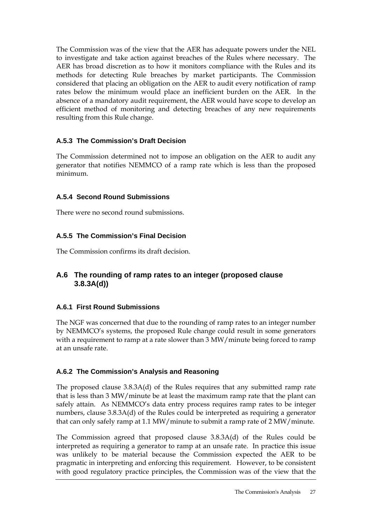The Commission was of the view that the AER has adequate powers under the NEL to investigate and take action against breaches of the Rules where necessary. The AER has broad discretion as to how it monitors compliance with the Rules and its methods for detecting Rule breaches by market participants. The Commission considered that placing an obligation on the AER to audit every notification of ramp rates below the minimum would place an inefficient burden on the AER. In the absence of a mandatory audit requirement, the AER would have scope to develop an efficient method of monitoring and detecting breaches of any new requirements resulting from this Rule change.

## **A.5.3 The Commission's Draft Decision**

The Commission determined not to impose an obligation on the AER to audit any generator that notifies NEMMCO of a ramp rate which is less than the proposed minimum.

#### **A.5.4 Second Round Submissions**

There were no second round submissions.

#### **A.5.5 The Commission's Final Decision**

The Commission confirms its draft decision.

#### **A.6 The rounding of ramp rates to an integer (proposed clause 3.8.3A(d))**

#### **A.6.1 First Round Submissions**

The NGF was concerned that due to the rounding of ramp rates to an integer number by NEMMCO's systems, the proposed Rule change could result in some generators with a requirement to ramp at a rate slower than 3 MW/minute being forced to ramp at an unsafe rate.

#### **A.6.2 The Commission's Analysis and Reasoning**

The proposed clause 3.8.3A(d) of the Rules requires that any submitted ramp rate that is less than 3 MW/minute be at least the maximum ramp rate that the plant can safely attain. As NEMMCO's data entry process requires ramp rates to be integer numbers, clause 3.8.3A(d) of the Rules could be interpreted as requiring a generator that can only safely ramp at 1.1 MW/minute to submit a ramp rate of 2 MW/minute.

The Commission agreed that proposed clause 3.8.3A(d) of the Rules could be interpreted as requiring a generator to ramp at an unsafe rate. In practice this issue was unlikely to be material because the Commission expected the AER to be pragmatic in interpreting and enforcing this requirement. However, to be consistent with good regulatory practice principles, the Commission was of the view that the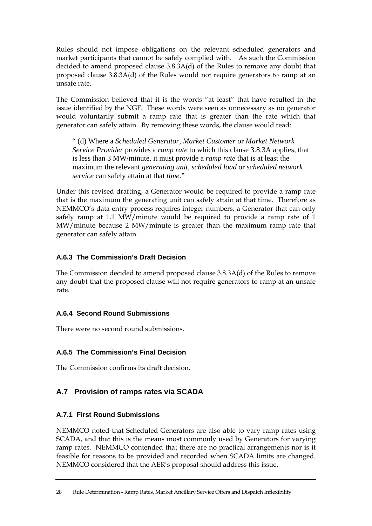Rules should not impose obligations on the relevant scheduled generators and market participants that cannot be safely complied with. As such the Commission decided to amend proposed clause 3.8.3A(d) of the Rules to remove any doubt that proposed clause 3.8.3A(d) of the Rules would not require generators to ramp at an unsafe rate.

The Commission believed that it is the words "at least" that have resulted in the issue identified by the NGF. These words were seen as unnecessary as no generator would voluntarily submit a ramp rate that is greater than the rate which that generator can safely attain. By removing these words, the clause would read:

" (d) Where a *Scheduled Generator, Market Customer* or *Market Network Service Provider* provides a *ramp rate* to which this clause 3.8.3A applies, that is less than 3 MW/minute, it must provide a *ramp rate* that is at least the maximum the relevant *generating unit, scheduled load* or *scheduled network service* can safely attain at that *time*."

Under this revised drafting, a Generator would be required to provide a ramp rate that is the maximum the generating unit can safely attain at that time. Therefore as NEMMCO's data entry process requires integer numbers, a Generator that can only safely ramp at 1.1 MW/minute would be required to provide a ramp rate of 1 MW/minute because 2 MW/minute is greater than the maximum ramp rate that generator can safely attain.

#### **A.6.3 The Commission's Draft Decision**

The Commission decided to amend proposed clause 3.8.3A(d) of the Rules to remove any doubt that the proposed clause will not require generators to ramp at an unsafe rate.

## **A.6.4 Second Round Submissions**

There were no second round submissions.

## **A.6.5 The Commission's Final Decision**

The Commission confirms its draft decision.

# **A.7 Provision of ramps rates via SCADA**

## **A.7.1 First Round Submissions**

NEMMCO noted that Scheduled Generators are also able to vary ramp rates using SCADA, and that this is the means most commonly used by Generators for varying ramp rates. NEMMCO contended that there are no practical arrangements nor is it feasible for reasons to be provided and recorded when SCADA limits are changed. NEMMCO considered that the AER's proposal should address this issue.

<sup>28</sup> Rule Determination - Ramp Rates, Market Ancillary Service Offers and Dispatch Inflexibility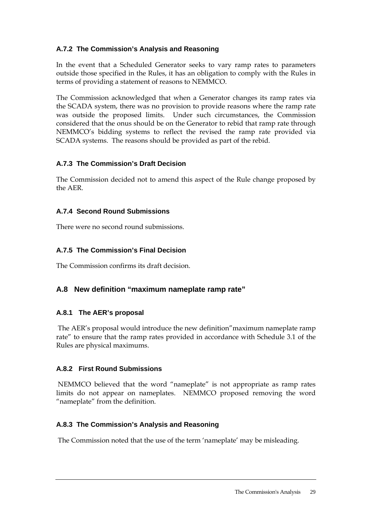### **A.7.2 The Commission's Analysis and Reasoning**

In the event that a Scheduled Generator seeks to vary ramp rates to parameters outside those specified in the Rules, it has an obligation to comply with the Rules in terms of providing a statement of reasons to NEMMCO.

The Commission acknowledged that when a Generator changes its ramp rates via the SCADA system, there was no provision to provide reasons where the ramp rate was outside the proposed limits. Under such circumstances, the Commission considered that the onus should be on the Generator to rebid that ramp rate through NEMMCO's bidding systems to reflect the revised the ramp rate provided via SCADA systems. The reasons should be provided as part of the rebid.

#### **A.7.3 The Commission's Draft Decision**

The Commission decided not to amend this aspect of the Rule change proposed by the AER.

#### **A.7.4 Second Round Submissions**

There were no second round submissions.

#### **A.7.5 The Commission's Final Decision**

The Commission confirms its draft decision.

## **A.8 New definition "maximum nameplate ramp rate"**

#### **A.8.1 The AER's proposal**

 The AER's proposal would introduce the new definition"maximum nameplate ramp rate" to ensure that the ramp rates provided in accordance with Schedule 3.1 of the Rules are physical maximums.

#### **A.8.2 First Round Submissions**

 NEMMCO believed that the word "nameplate" is not appropriate as ramp rates limits do not appear on nameplates. NEMMCO proposed removing the word "nameplate" from the definition.

#### **A.8.3 The Commission's Analysis and Reasoning**

The Commission noted that the use of the term 'nameplate' may be misleading.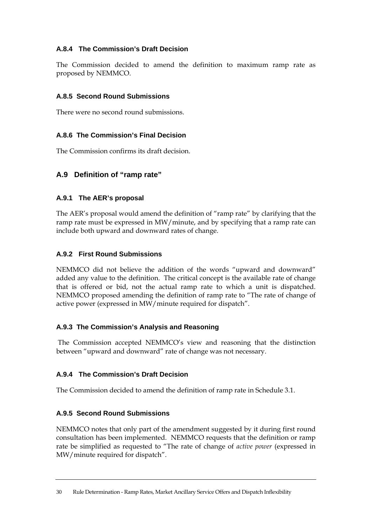#### **A.8.4 The Commission's Draft Decision**

The Commission decided to amend the definition to maximum ramp rate as proposed by NEMMCO.

#### **A.8.5 Second Round Submissions**

There were no second round submissions.

#### **A.8.6 The Commission's Final Decision**

The Commission confirms its draft decision.

#### **A.9 Definition of "ramp rate"**

#### **A.9.1 The AER's proposal**

The AER's proposal would amend the definition of "ramp rate" by clarifying that the ramp rate must be expressed in MW/minute, and by specifying that a ramp rate can include both upward and downward rates of change.

#### **A.9.2 First Round Submissions**

NEMMCO did not believe the addition of the words "upward and downward" added any value to the definition. The critical concept is the available rate of change that is offered or bid, not the actual ramp rate to which a unit is dispatched. NEMMCO proposed amending the definition of ramp rate to "The rate of change of active power (expressed in MW/minute required for dispatch".

#### **A.9.3 The Commission's Analysis and Reasoning**

 The Commission accepted NEMMCO's view and reasoning that the distinction between "upward and downward" rate of change was not necessary.

#### **A.9.4 The Commission's Draft Decision**

The Commission decided to amend the definition of ramp rate in Schedule 3.1.

#### **A.9.5 Second Round Submissions**

NEMMCO notes that only part of the amendment suggested by it during first round consultation has been implemented. NEMMCO requests that the definition or ramp rate be simplified as requested to "The rate of change of *active power* (expressed in MW/minute required for dispatch".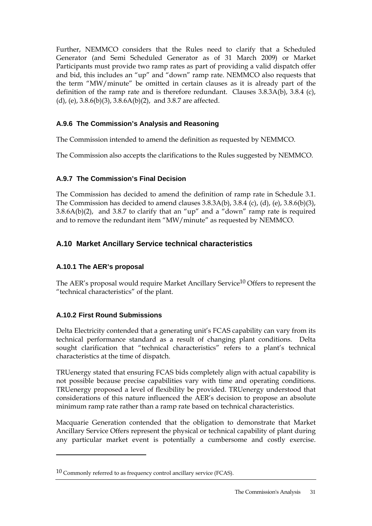Further, NEMMCO considers that the Rules need to clarify that a Scheduled Generator (and Semi Scheduled Generator as of 31 March 2009) or Market Participants must provide two ramp rates as part of providing a valid dispatch offer and bid, this includes an "up" and "down" ramp rate. NEMMCO also requests that the term "MW/minute" be omitted in certain clauses as it is already part of the definition of the ramp rate and is therefore redundant. Clauses 3.8.3A(b), 3.8.4 (c), (d), (e),  $3.8.6(b)(3)$ ,  $3.8.6A(b)(2)$ , and  $3.8.7$  are affected.

# **A.9.6 The Commission's Analysis and Reasoning**

The Commission intended to amend the definition as requested by NEMMCO.

The Commission also accepts the clarifications to the Rules suggested by NEMMCO.

# **A.9.7 The Commission's Final Decision**

The Commission has decided to amend the definition of ramp rate in Schedule 3.1. The Commission has decided to amend clauses  $3.8.3A(b)$ ,  $3.8.4(c)$ , (d), (e),  $3.8.6(b)(3)$ ,  $3.8.6A(b)(2)$ , and  $3.8.7$  to clarify that an "up" and a "down" ramp rate is required and to remove the redundant item "MW/minute" as requested by NEMMCO.

# **A.10 Market Ancillary Service technical characteristics**

# **A.10.1 The AER's proposal**

The AER's proposal would require Market Ancillary Service<sup>10</sup> Offers to represent the "technical characteristics" of the plant.

# **A.10.2 First Round Submissions**

 $\overline{a}$ 

Delta Electricity contended that a generating unit's FCAS capability can vary from its technical performance standard as a result of changing plant conditions. Delta sought clarification that "technical characteristics" refers to a plant's technical characteristics at the time of dispatch.

TRUenergy stated that ensuring FCAS bids completely align with actual capability is not possible because precise capabilities vary with time and operating conditions. TRUenergy proposed a level of flexibility be provided. TRUenergy understood that considerations of this nature influenced the AER's decision to propose an absolute minimum ramp rate rather than a ramp rate based on technical characteristics.

Macquarie Generation contended that the obligation to demonstrate that Market Ancillary Service Offers represent the physical or technical capability of plant during any particular market event is potentially a cumbersome and costly exercise.

<sup>10</sup> Commonly referred to as frequency control ancillary service (FCAS).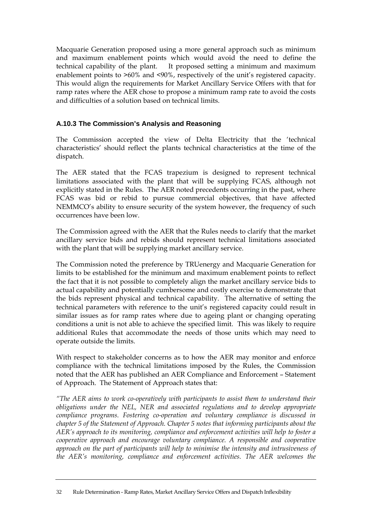Macquarie Generation proposed using a more general approach such as minimum and maximum enablement points which would avoid the need to define the technical capability of the plant. It proposed setting a minimum and maximum enablement points to >60% and <90%, respectively of the unit's registered capacity. This would align the requirements for Market Ancillary Service Offers with that for ramp rates where the AER chose to propose a minimum ramp rate to avoid the costs and difficulties of a solution based on technical limits.

### **A.10.3 The Commission's Analysis and Reasoning**

The Commission accepted the view of Delta Electricity that the 'technical characteristics' should reflect the plants technical characteristics at the time of the dispatch.

The AER stated that the FCAS trapezium is designed to represent technical limitations associated with the plant that will be supplying FCAS, although not explicitly stated in the Rules. The AER noted precedents occurring in the past, where FCAS was bid or rebid to pursue commercial objectives, that have affected NEMMCO's ability to ensure security of the system however, the frequency of such occurrences have been low.

The Commission agreed with the AER that the Rules needs to clarify that the market ancillary service bids and rebids should represent technical limitations associated with the plant that will be supplying market ancillary service.

The Commission noted the preference by TRUenergy and Macquarie Generation for limits to be established for the minimum and maximum enablement points to reflect the fact that it is not possible to completely align the market ancillary service bids to actual capability and potentially cumbersome and costly exercise to demonstrate that the bids represent physical and technical capability. The alternative of setting the technical parameters with reference to the unit's registered capacity could result in similar issues as for ramp rates where due to ageing plant or changing operating conditions a unit is not able to achieve the specified limit. This was likely to require additional Rules that accommodate the needs of those units which may need to operate outside the limits.

With respect to stakeholder concerns as to how the AER may monitor and enforce compliance with the technical limitations imposed by the Rules, the Commission noted that the AER has published an AER Compliance and Enforcement – Statement of Approach. The Statement of Approach states that:

*"The AER aims to work co-operatively with participants to assist them to understand their obligations under the NEL, NER and associated regulations and to develop appropriate compliance programs. Fostering co-operation and voluntary compliance is discussed in chapter 5 of the Statement of Approach. Chapter 5 notes that informing participants about the AER's approach to its monitoring, compliance and enforcement activities will help to foster a cooperative approach and encourage voluntary compliance. A responsible and cooperative approach on the part of participants will help to minimise the intensity and intrusiveness of the AER's monitoring, compliance and enforcement activities. The AER welcomes the* 

32 Rule Determination - Ramp Rates, Market Ancillary Service Offers and Dispatch Inflexibility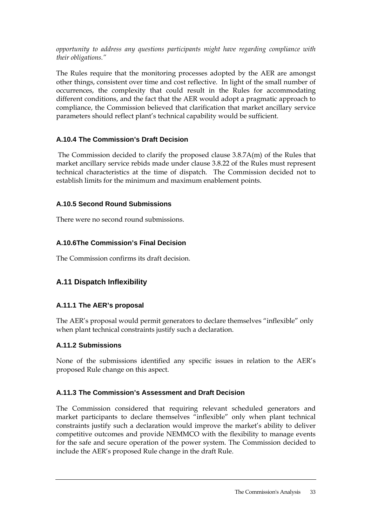*opportunity to address any questions participants might have regarding compliance with their obligations."* 

The Rules require that the monitoring processes adopted by the AER are amongst other things, consistent over time and cost reflective. In light of the small number of occurrences, the complexity that could result in the Rules for accommodating different conditions, and the fact that the AER would adopt a pragmatic approach to compliance, the Commission believed that clarification that market ancillary service parameters should reflect plant's technical capability would be sufficient.

#### **A.10.4 The Commission's Draft Decision**

 The Commission decided to clarify the proposed clause 3.8.7A(m) of the Rules that market ancillary service rebids made under clause 3.8.22 of the Rules must represent technical characteristics at the time of dispatch. The Commission decided not to establish limits for the minimum and maximum enablement points.

#### **A.10.5 Second Round Submissions**

There were no second round submissions.

#### **A.10.6The Commission's Final Decision**

The Commission confirms its draft decision.

# **A.11 Dispatch Inflexibility**

#### **A.11.1 The AER's proposal**

The AER's proposal would permit generators to declare themselves "inflexible" only when plant technical constraints justify such a declaration.

#### **A.11.2 Submissions**

None of the submissions identified any specific issues in relation to the AER's proposed Rule change on this aspect.

#### **A.11.3 The Commission's Assessment and Draft Decision**

The Commission considered that requiring relevant scheduled generators and market participants to declare themselves "inflexible" only when plant technical constraints justify such a declaration would improve the market's ability to deliver competitive outcomes and provide NEMMCO with the flexibility to manage events for the safe and secure operation of the power system. The Commission decided to include the AER's proposed Rule change in the draft Rule.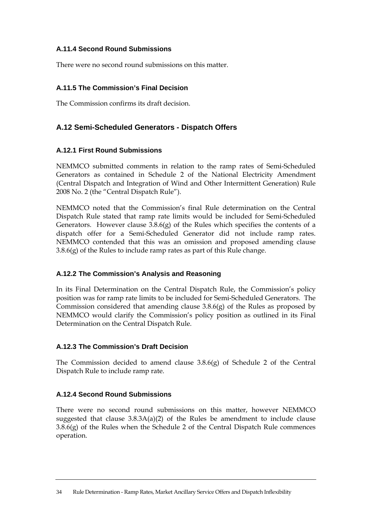#### **A.11.4 Second Round Submissions**

There were no second round submissions on this matter.

#### **A.11.5 The Commission's Final Decision**

The Commission confirms its draft decision.

### **A.12 Semi-Scheduled Generators - Dispatch Offers**

#### **A.12.1 First Round Submissions**

NEMMCO submitted comments in relation to the ramp rates of Semi-Scheduled Generators as contained in Schedule 2 of the National Electricity Amendment (Central Dispatch and Integration of Wind and Other Intermittent Generation) Rule 2008 No. 2 (the "Central Dispatch Rule").

NEMMCO noted that the Commission's final Rule determination on the Central Dispatch Rule stated that ramp rate limits would be included for Semi-Scheduled Generators. However clause 3.8.6(g) of the Rules which specifies the contents of a dispatch offer for a Semi-Scheduled Generator did not include ramp rates. NEMMCO contended that this was an omission and proposed amending clause  $3.8.6(g)$  of the Rules to include ramp rates as part of this Rule change.

#### **A.12.2 The Commission's Analysis and Reasoning**

In its Final Determination on the Central Dispatch Rule, the Commission's policy position was for ramp rate limits to be included for Semi-Scheduled Generators. The Commission considered that amending clause 3.8.6(g) of the Rules as proposed by NEMMCO would clarify the Commission's policy position as outlined in its Final Determination on the Central Dispatch Rule.

#### **A.12.3 The Commission's Draft Decision**

The Commission decided to amend clause 3.8.6(g) of Schedule 2 of the Central Dispatch Rule to include ramp rate.

#### **A.12.4 Second Round Submissions**

There were no second round submissions on this matter, however NEMMCO suggested that clause  $3.8.3A(a)(2)$  of the Rules be amendment to include clause  $3.8.6(g)$  of the Rules when the Schedule 2 of the Central Dispatch Rule commences operation.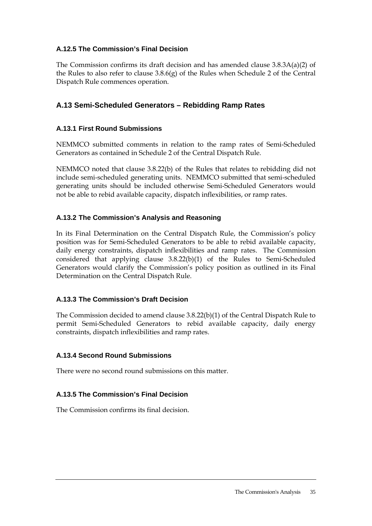#### **A.12.5 The Commission's Final Decision**

The Commission confirms its draft decision and has amended clause 3.8.3A(a)(2) of the Rules to also refer to clause  $3.8.6(q)$  of the Rules when Schedule 2 of the Central Dispatch Rule commences operation.

## **A.13 Semi-Scheduled Generators – Rebidding Ramp Rates**

#### **A.13.1 First Round Submissions**

NEMMCO submitted comments in relation to the ramp rates of Semi-Scheduled Generators as contained in Schedule 2 of the Central Dispatch Rule.

NEMMCO noted that clause 3.8.22(b) of the Rules that relates to rebidding did not include semi-scheduled generating units. NEMMCO submitted that semi-scheduled generating units should be included otherwise Semi-Scheduled Generators would not be able to rebid available capacity, dispatch inflexibilities, or ramp rates.

#### **A.13.2 The Commission's Analysis and Reasoning**

In its Final Determination on the Central Dispatch Rule, the Commission's policy position was for Semi-Scheduled Generators to be able to rebid available capacity, daily energy constraints, dispatch inflexibilities and ramp rates. The Commission considered that applying clause 3.8.22(b)(1) of the Rules to Semi-Scheduled Generators would clarify the Commission's policy position as outlined in its Final Determination on the Central Dispatch Rule.

#### **A.13.3 The Commission's Draft Decision**

The Commission decided to amend clause 3.8.22(b)(1) of the Central Dispatch Rule to permit Semi-Scheduled Generators to rebid available capacity, daily energy constraints, dispatch inflexibilities and ramp rates.

#### **A.13.4 Second Round Submissions**

There were no second round submissions on this matter.

#### **A.13.5 The Commission's Final Decision**

The Commission confirms its final decision.